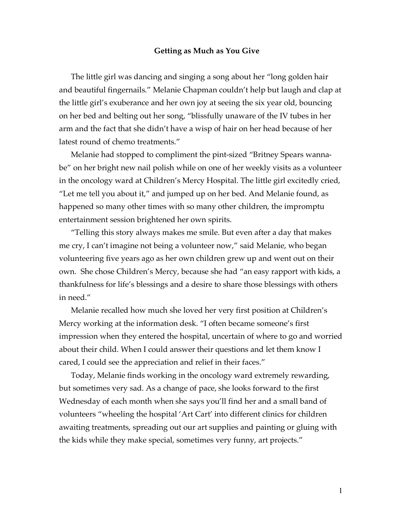## **Getting as Much as You Give**

The little girl was dancing and singing a song about her "long golden hair and beautiful fingernails." Melanie Chapman couldn't help but laugh and clap at the little girl's exuberance and her own joy at seeing the six year old, bouncing on her bed and belting out her song, "blissfully unaware of the IV tubes in her arm and the fact that she didn't have a wisp of hair on her head because of her latest round of chemo treatments."

Melanie had stopped to compliment the pint-sized "Britney Spears wannabe" on her bright new nail polish while on one of her weekly visits as a volunteer in the oncology ward at Children's Mercy Hospital. The little girl excitedly cried, "Let me tell you about it," and jumped up on her bed. And Melanie found, as happened so many other times with so many other children, the impromptu entertainment session brightened her own spirits.

"Telling this story always makes me smile. But even after a day that makes me cry, I can't imagine not being a volunteer now," said Melanie, who began volunteering five years ago as her own children grew up and went out on their own. She chose Children's Mercy, because she had "an easy rapport with kids, a thankfulness for life's blessings and a desire to share those blessings with others in need."

Melanie recalled how much she loved her very first position at Children's Mercy working at the information desk. "I often became someone's first impression when they entered the hospital, uncertain of where to go and worried about their child. When I could answer their questions and let them know I cared, I could see the appreciation and relief in their faces."

Today, Melanie finds working in the oncology ward extremely rewarding, but sometimes very sad. As a change of pace, she looks forward to the first Wednesday of each month when she says you'll find her and a small band of volunteers "wheeling the hospital 'Art Cart' into different clinics for children awaiting treatments, spreading out our art supplies and painting or gluing with the kids while they make special, sometimes very funny, art projects."